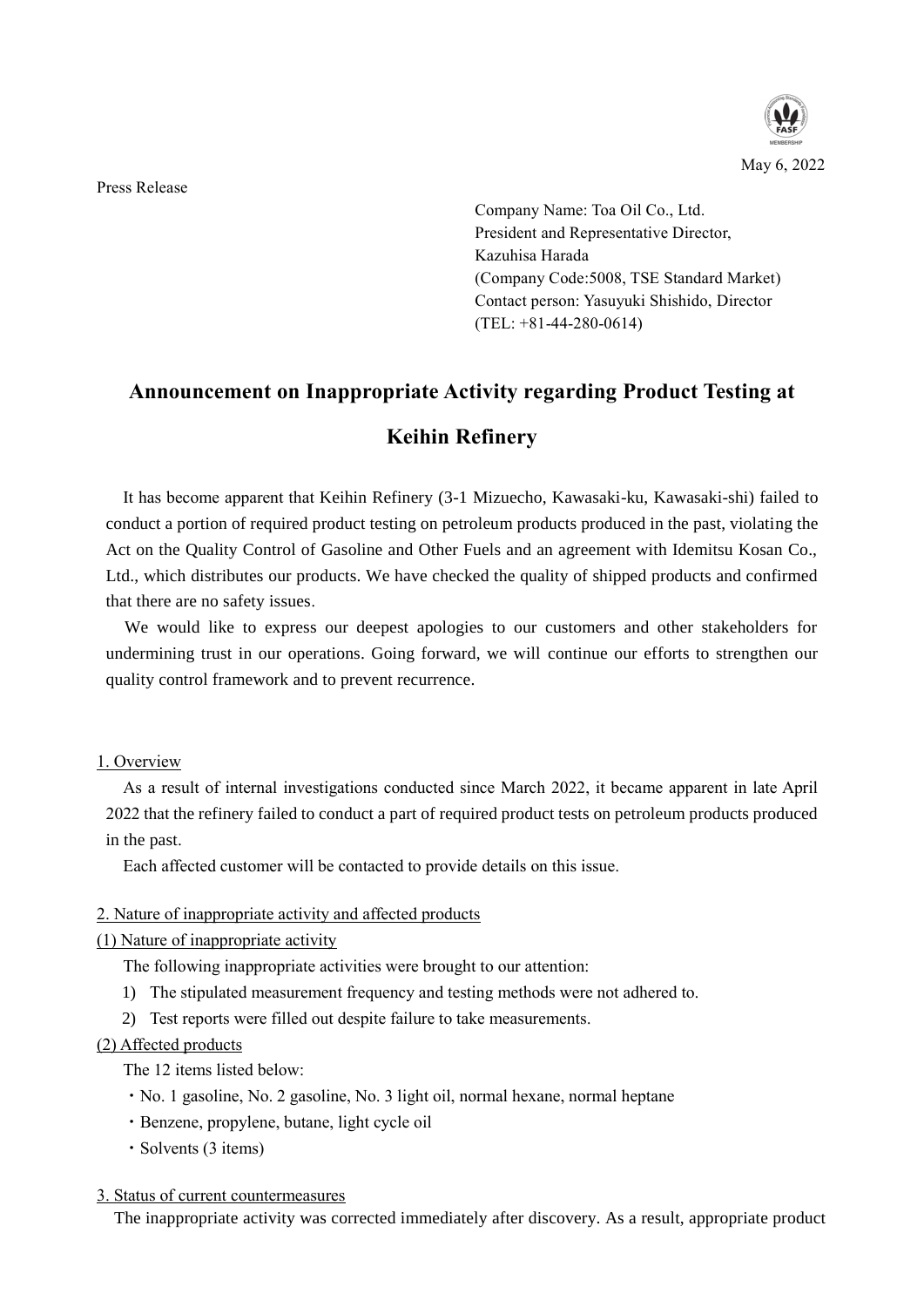May 6, 2022

Press Release

Company Name: Toa Oil Co., Ltd. President and Representative Director, Kazuhisa Harada (Company Code:5008, TSE Standard Market) Contact person: Yasuyuki Shishido, Director (TEL: +81-44-280-0614)

# **Announcement on Inappropriate Activity regarding Product Testing at Keihin Refinery**

It has become apparent that Keihin Refinery (3-1 Mizuecho, Kawasaki-ku, Kawasaki-shi) failed to conduct a portion of required product testing on petroleum products produced in the past, violating the Act on the Quality Control of Gasoline and Other Fuels and an agreement with Idemitsu Kosan Co., Ltd., which distributes our products. We have checked the quality of shipped products and confirmed that there are no safety issues.

We would like to express our deepest apologies to our customers and other stakeholders for undermining trust in our operations. Going forward, we will continue our efforts to strengthen our quality control framework and to prevent recurrence.

## 1. Overview

As a result of internal investigations conducted since March 2022, it became apparent in late April 2022 that the refinery failed to conduct a part of required product tests on petroleum products produced in the past.

Each affected customer will be contacted to provide details on this issue.

## 2. Nature of inappropriate activity and affected products

## (1) Nature of inappropriate activity

The following inappropriate activities were brought to our attention:

- 1) The stipulated measurement frequency and testing methods were not adhered to.
- 2) Test reports were filled out despite failure to take measurements.

## (2) Affected products

The 12 items listed below:

- ・No. 1 gasoline, No. 2 gasoline, No. 3 light oil, normal hexane, normal heptane
- ・Benzene, propylene, butane, light cycle oil
- ・Solvents (3 items)

## 3. Status of current countermeasures

The inappropriate activity was corrected immediately after discovery. As a result, appropriate product